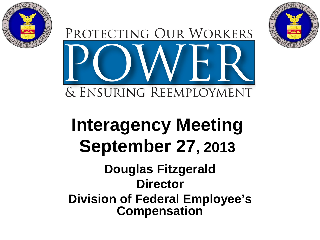



# **Interagency Meeting September 27, 2013**

#### **Douglas Fitzgerald Director Division of Federal Employee's Compensation**

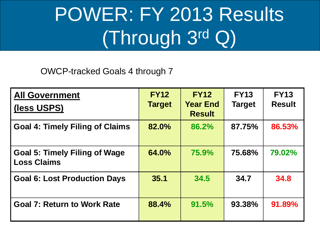# POWER: FY 2013 Results (Through 3rd Q)

OWCP-tracked Goals 4 through 7

| <b>All Government</b><br>(less USPS)                       | <b>FY12</b><br><b>Target</b> | <b>FY12</b><br><b>Year End</b><br><b>Result</b> | <b>FY13</b><br><b>Target</b> | <b>FY13</b><br><b>Result</b> |
|------------------------------------------------------------|------------------------------|-------------------------------------------------|------------------------------|------------------------------|
| <b>Goal 4: Timely Filing of Claims</b>                     | 82.0%                        | 86.2%                                           | 87.75%                       | 86.53%                       |
| <b>Goal 5: Timely Filing of Wage</b><br><b>Loss Claims</b> | 64.0%                        | 75.9%                                           | 75.68%                       | 79.02%                       |
| <b>Goal 6: Lost Production Days</b>                        | 35.1                         | 34.5                                            | 34.7                         | 34.8                         |
| <b>Goal 7: Return to Work Rate</b>                         | 88.4%                        | 91.5%                                           | 93.38%                       | 91.89%                       |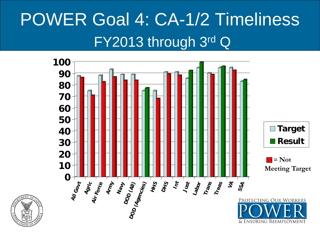# POWER Goal 4: CA-1/2 Timeliness FY2013 through 3rd Q

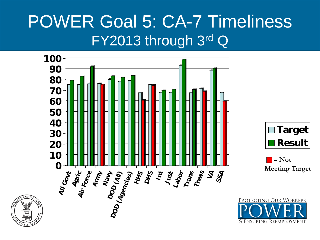### POWER Goal 5: CA-7 Timeliness FY2013 through 3rd Q

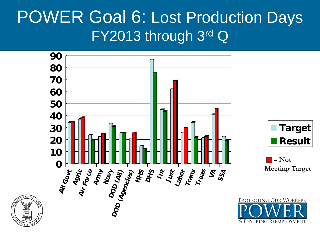#### POWER Goal 6: Lost Production Days FY2013 through 3rd Q

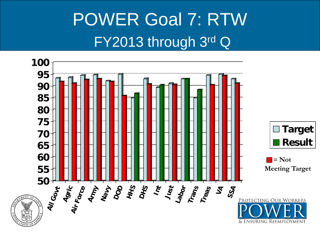# POWER Goal 7: RTW FY2013 through 3rd Q